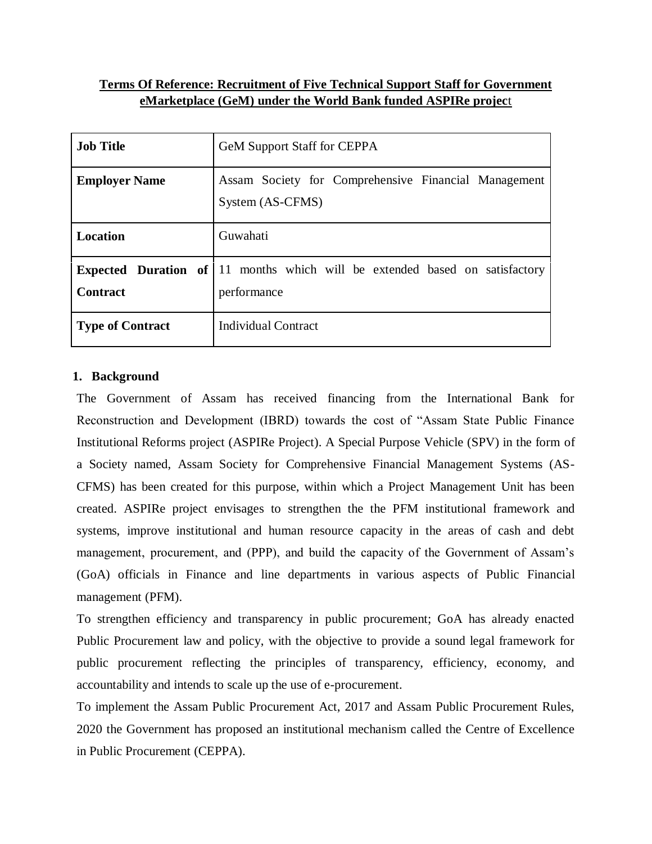# **Terms Of Reference: Recruitment of Five Technical Support Staff for Government eMarketplace (GeM) under the World Bank funded ASPIRe projec**t

| <b>Job Title</b>        | <b>GeM Support Staff for CEPPA</b>                                                                |  |  |  |
|-------------------------|---------------------------------------------------------------------------------------------------|--|--|--|
| <b>Employer Name</b>    | Assam Society for Comprehensive Financial Management<br>System (AS-CFMS)                          |  |  |  |
| <b>Location</b>         | Guwahati                                                                                          |  |  |  |
| <b>Contract</b>         | <b>Expected Duration of 11</b> months which will be extended based on satisfactory<br>performance |  |  |  |
| <b>Type of Contract</b> | <b>Individual Contract</b>                                                                        |  |  |  |

## **1. Background**

The Government of Assam has received financing from the International Bank for Reconstruction and Development (IBRD) towards the cost of "Assam State Public Finance Institutional Reforms project (ASPIRe Project). A Special Purpose Vehicle (SPV) in the form of a Society named, Assam Society for Comprehensive Financial Management Systems (AS-CFMS) has been created for this purpose, within which a Project Management Unit has been created. ASPIRe project envisages to strengthen the the PFM institutional framework and systems, improve institutional and human resource capacity in the areas of cash and debt management, procurement, and (PPP), and build the capacity of the Government of Assam's (GoA) officials in Finance and line departments in various aspects of Public Financial management (PFM).

To strengthen efficiency and transparency in public procurement; GoA has already enacted Public Procurement law and policy, with the objective to provide a sound legal framework for public procurement reflecting the principles of transparency, efficiency, economy, and accountability and intends to scale up the use of e-procurement.

To implement the Assam Public Procurement Act, 2017 and Assam Public Procurement Rules, 2020 the Government has proposed an institutional mechanism called the Centre of Excellence in Public Procurement (CEPPA).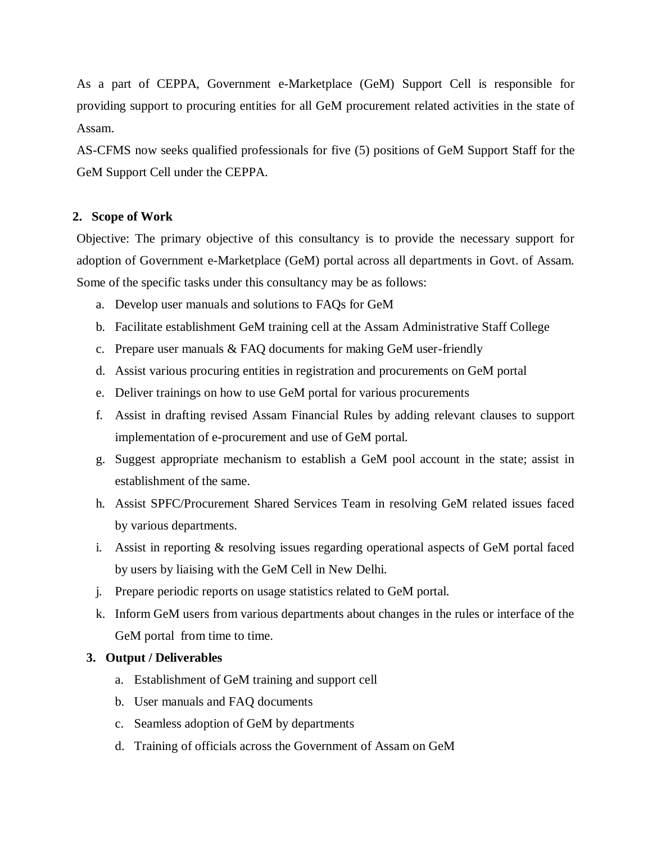As a part of CEPPA, Government e-Marketplace (GeM) Support Cell is responsible for providing support to procuring entities for all GeM procurement related activities in the state of Assam.

AS-CFMS now seeks qualified professionals for five (5) positions of GeM Support Staff for the GeM Support Cell under the CEPPA.

# **2. Scope of Work**

Objective: The primary objective of this consultancy is to provide the necessary support for adoption of Government e-Marketplace (GeM) portal across all departments in Govt. of Assam. Some of the specific tasks under this consultancy may be as follows:

- a. Develop user manuals and solutions to FAQs for GeM
- b. Facilitate establishment GeM training cell at the Assam Administrative Staff College
- c. Prepare user manuals & FAQ documents for making GeM user-friendly
- d. Assist various procuring entities in registration and procurements on GeM portal
- e. Deliver trainings on how to use GeM portal for various procurements
- f. Assist in drafting revised Assam Financial Rules by adding relevant clauses to support implementation of e-procurement and use of GeM portal.
- g. Suggest appropriate mechanism to establish a GeM pool account in the state; assist in establishment of the same.
- h. Assist SPFC/Procurement Shared Services Team in resolving GeM related issues faced by various departments.
- i. Assist in reporting & resolving issues regarding operational aspects of GeM portal faced by users by liaising with the GeM Cell in New Delhi.
- j. Prepare periodic reports on usage statistics related to GeM portal.
- k. Inform GeM users from various departments about changes in the rules or interface of the GeM portal from time to time.

# **3. Output / Deliverables**

- a. Establishment of GeM training and support cell
- b. User manuals and FAQ documents
- c. Seamless adoption of GeM by departments
- d. Training of officials across the Government of Assam on GeM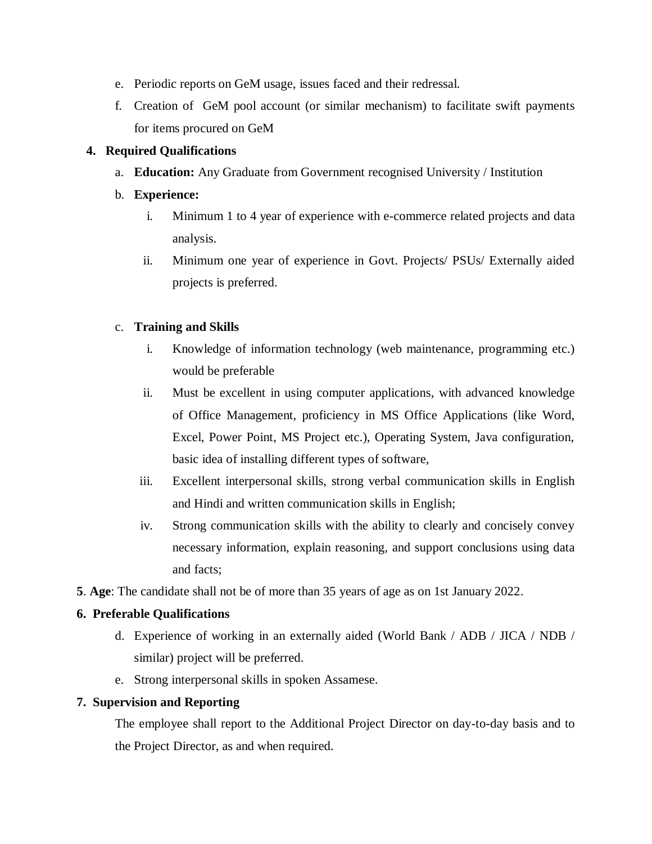- e. Periodic reports on GeM usage, issues faced and their redressal.
- f. Creation of GeM pool account (or similar mechanism) to facilitate swift payments for items procured on GeM

## **4. Required Qualifications**

a. **Education:** Any Graduate from Government recognised University / Institution

## b. **Experience:**

- i. Minimum 1 to 4 year of experience with e-commerce related projects and data analysis.
- ii. Minimum one year of experience in Govt. Projects/ PSUs/ Externally aided projects is preferred.

## c. **Training and Skills**

- i. Knowledge of information technology (web maintenance, programming etc.) would be preferable
- ii. Must be excellent in using computer applications, with advanced knowledge of Office Management, proficiency in MS Office Applications (like Word, Excel, Power Point, MS Project etc.), Operating System, Java configuration, basic idea of installing different types of software,
- iii. Excellent interpersonal skills, strong verbal communication skills in English and Hindi and written communication skills in English;
- iv. Strong communication skills with the ability to clearly and concisely convey necessary information, explain reasoning, and support conclusions using data and facts;
- **5**. **Age**: The candidate shall not be of more than 35 years of age as on 1st January 2022.

# **6. Preferable Qualifications**

- d. Experience of working in an externally aided (World Bank / ADB / JICA / NDB / similar) project will be preferred.
- e. Strong interpersonal skills in spoken Assamese.

# **7. Supervision and Reporting**

The employee shall report to the Additional Project Director on day-to-day basis and to the Project Director, as and when required.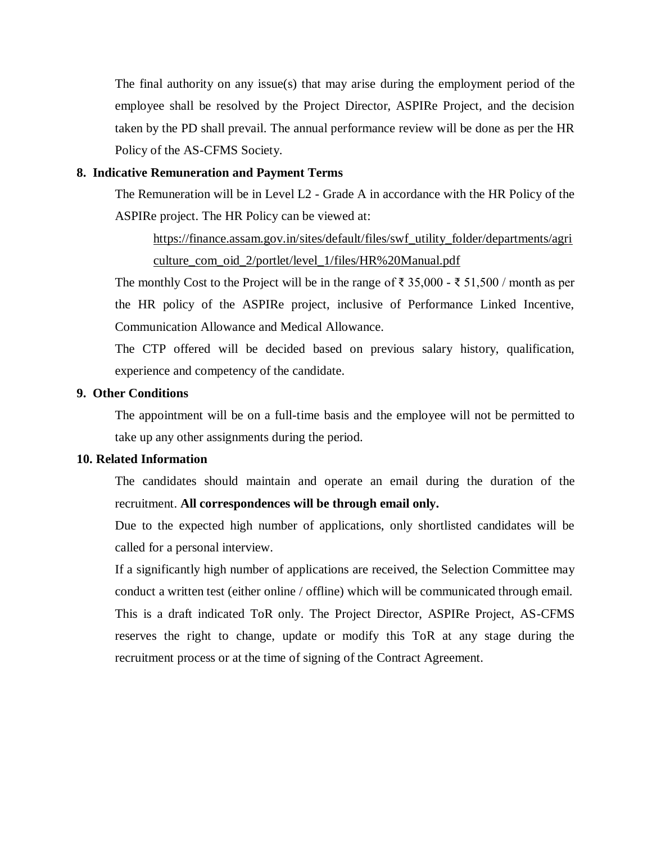The final authority on any issue(s) that may arise during the employment period of the employee shall be resolved by the Project Director, ASPIRe Project, and the decision taken by the PD shall prevail. The annual performance review will be done as per the HR Policy of the AS-CFMS Society.

### **8. Indicative Remuneration and Payment Terms**

The Remuneration will be in Level L2 - Grade A in accordance with the HR Policy of the ASPIRe project. The HR Policy can be viewed at:

[https://finance.assam.gov.in/sites/default/files/swf\\_utility\\_folder/departments/agri](https://finance.assam.gov.in/sites/default/files/swf_utility_folder/departments/agriculture_com_oid_2/portlet/level_1/files/HR%20Manual.pdf) [culture\\_com\\_oid\\_2/portlet/level\\_1/files/HR%20Manual.pdf](https://finance.assam.gov.in/sites/default/files/swf_utility_folder/departments/agriculture_com_oid_2/portlet/level_1/files/HR%20Manual.pdf)

The monthly Cost to the Project will be in the range of  $\bar{\tau}$  35,000 -  $\bar{\tau}$  51,500 / month as per the HR policy of the ASPIRe project, inclusive of Performance Linked Incentive, Communication Allowance and Medical Allowance.

The CTP offered will be decided based on previous salary history, qualification, experience and competency of the candidate.

### **9. Other Conditions**

The appointment will be on a full-time basis and the employee will not be permitted to take up any other assignments during the period.

### **10. Related Information**

The candidates should maintain and operate an email during the duration of the recruitment. **All correspondences will be through email only.**

Due to the expected high number of applications, only shortlisted candidates will be called for a personal interview.

If a significantly high number of applications are received, the Selection Committee may conduct a written test (either online / offline) which will be communicated through email. This is a draft indicated ToR only. The Project Director, ASPIRe Project, AS-CFMS reserves the right to change, update or modify this ToR at any stage during the recruitment process or at the time of signing of the Contract Agreement.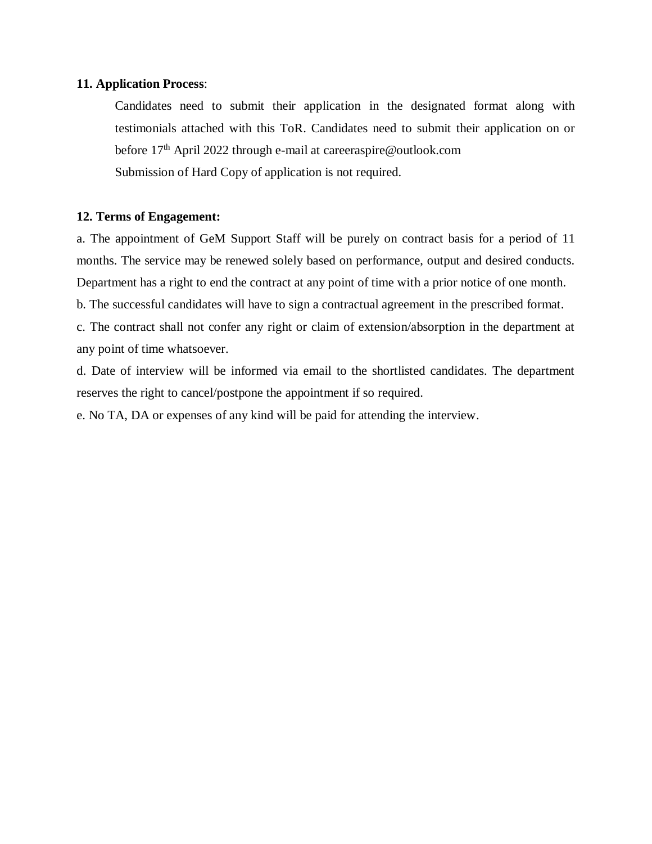### **11. Application Process**:

Candidates need to submit their application in the designated format along with testimonials attached with this ToR. Candidates need to submit their application on or before 17<sup>th</sup> April 2022 through e-mail at careeraspire@outlook.com Submission of Hard Copy of application is not required.

### **12. Terms of Engagement:**

a. The appointment of GeM Support Staff will be purely on contract basis for a period of 11 months. The service may be renewed solely based on performance, output and desired conducts. Department has a right to end the contract at any point of time with a prior notice of one month.

b. The successful candidates will have to sign a contractual agreement in the prescribed format.

c. The contract shall not confer any right or claim of extension/absorption in the department at any point of time whatsoever.

d. Date of interview will be informed via email to the shortlisted candidates. The department reserves the right to cancel/postpone the appointment if so required.

e. No TA, DA or expenses of any kind will be paid for attending the interview.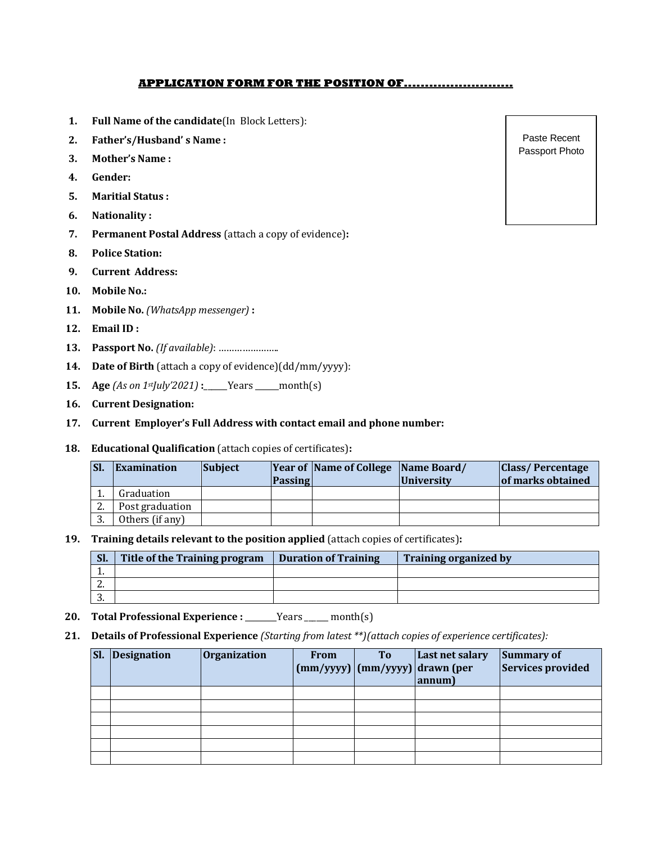### **APPLICATION FORM FOR THE POSITION OF..........................**

- **1. Full Name of the candidate**(In Block Letters):
- **2. Father's/Husband' s Name :**
- **3. Mother's Name :**
- **4. Gender:**
- **5. Maritial Status :**
- **6. Nationality :**
- **7. Permanent Postal Address** (attach a copy of evidence)**:**
- **8. Police Station:**
- **9. Current Address:**
- **10. Mobile No.:**
- **11. Mobile No.** *(WhatsApp messenger)* **:**
- **12. Email ID :**
- **13. Passport No.** *(If available)*: …………………..
- **14. Date of Birth** (attach a copy of evidence)(dd/mm/yyyy):
- **15. Age** *(As on 1stJuly'2021)* **:**\_\_\_\_\_\_Years \_\_\_\_\_\_month(s)
- **16. Current Designation:**
- **17. Current Employer's Full Address with contact email and phone number:**
- **18. Educational Qualification** (attach copies of certificates)**:**

| <b>SI</b> | <b>Examination</b> | <b>Subject</b> | <b>Passing</b> | <b>Year of Name of College Name Board/</b> | <i><u><b>University</b></u></i> | <b>Class/Percentage</b><br>of marks obtained |
|-----------|--------------------|----------------|----------------|--------------------------------------------|---------------------------------|----------------------------------------------|
|           | Graduation         |                |                |                                            |                                 |                                              |
| 2.        | Post graduation    |                |                |                                            |                                 |                                              |
|           | Others (if any)    |                |                |                                            |                                 |                                              |

**19. Training details relevant to the position applied** (attach copies of certificates)**:**

| SI.      | Title of the Training program | <b>Duration of Training</b> | <b>Training organized by</b> |
|----------|-------------------------------|-----------------------------|------------------------------|
|          |                               |                             |                              |
| <u>.</u> |                               |                             |                              |
|          |                               |                             |                              |

- 20. **Total Professional Experience : \_\_\_\_\_**Years \_\_\_\_ month(s)
- **21. Details of Professional Experience** *(Starting from latest \*\*)(attach copies of experience certificates):*

| SI. | Designation | Organization | <b>From</b> | T <sub>o</sub> | Last net salary<br>$\lfloor$ (mm/yyyy) $\lfloor$ (mm/yyyy) $\lfloor$ drawn (per<br>annum) | Summary of<br>Services provided |
|-----|-------------|--------------|-------------|----------------|-------------------------------------------------------------------------------------------|---------------------------------|
|     |             |              |             |                |                                                                                           |                                 |
|     |             |              |             |                |                                                                                           |                                 |
|     |             |              |             |                |                                                                                           |                                 |
|     |             |              |             |                |                                                                                           |                                 |
|     |             |              |             |                |                                                                                           |                                 |
|     |             |              |             |                |                                                                                           |                                 |

Paste Recent Passport Photo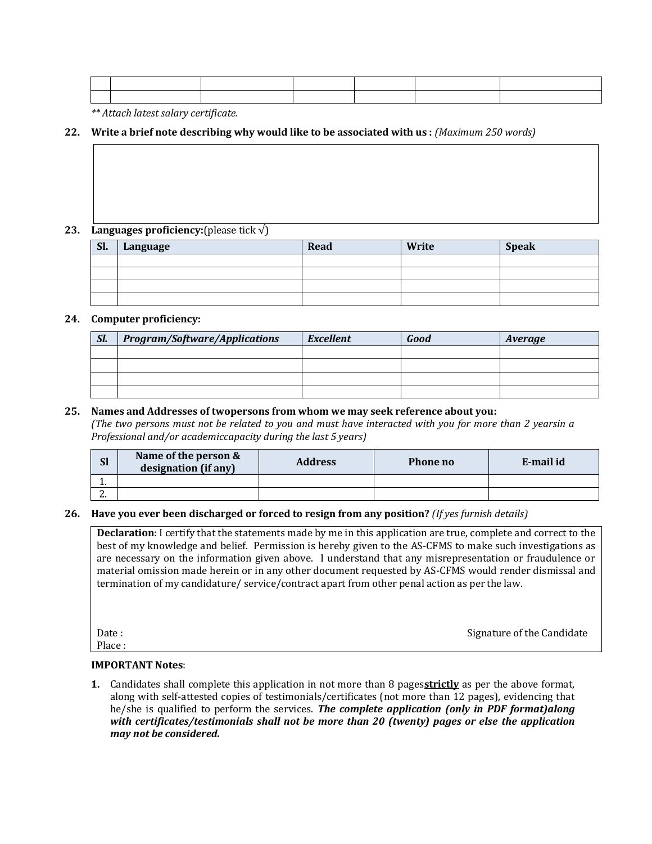|  | the contract of the contract of the contract of the contract of the contract of the contract of the contract of |  |  |
|--|-----------------------------------------------------------------------------------------------------------------|--|--|
|  |                                                                                                                 |  |  |

*\*\* Attach latest salary certificate.*

### **22. Write a brief note describing why would like to be associated with us :** *(Maximum 250 words)*

#### **23. Languages proficiency:**(please tick  $\sqrt{}$ )

| Sl. | Language | Read | Write | <b>Speak</b> |
|-----|----------|------|-------|--------------|
|     |          |      |       |              |
|     |          |      |       |              |
|     |          |      |       |              |
|     |          |      |       |              |

#### **24. Computer proficiency:**

| Sl. | <b>Program/Software/Applications</b> | <b>Excellent</b> | Good | Average |
|-----|--------------------------------------|------------------|------|---------|
|     |                                      |                  |      |         |
|     |                                      |                  |      |         |
|     |                                      |                  |      |         |
|     |                                      |                  |      |         |

#### **25. Names and Addresses of twopersons from whom we may seek reference about you:**

*(The two persons must not be related to you and must have interacted with you for more than 2 yearsin a Professional and/or academiccapacity during the last 5 years)*

| <b>Sl</b> | Name of the person &<br>designation (if any) | <b>Address</b> | Phone no | E-mail id |
|-----------|----------------------------------------------|----------------|----------|-----------|
| <b>.</b>  |                                              |                |          |           |
| <u>.</u>  |                                              |                |          |           |

### **26. Have you ever been discharged or forced to resign from any position?** *(If yes furnish details)*

**Declaration**: I certify that the statements made by me in this application are true, complete and correct to the best of my knowledge and belief. Permission is hereby given to the AS-CFMS to make such investigations as are necessary on the information given above. I understand that any misrepresentation or fraudulence or material omission made herein or in any other document requested by AS-CFMS would render dismissal and termination of my candidature/ service/contract apart from other penal action as per the law.

Date : Signature of the Candidate  $\sim$  Signature of the Candidate  $\sim$ Place :

### **IMPORTANT Notes**:

**1.** Candidates shall complete this application in not more than 8 pages**strictly** as per the above format, along with self-attested copies of testimonials/certificates (not more than 12 pages), evidencing that he/she is qualified to perform the services. *The complete application (only in PDF format)along with certificates/testimonials shall not be more than 20 (twenty) pages or else the application may not be considered.*